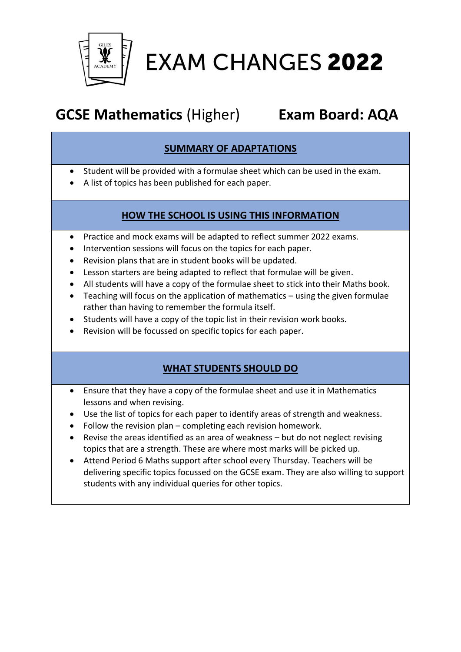

# **EXAM CHANGES 2022**

# **GCSE Mathematics** (Higher) **Exam Board: AQA**

## **SUMMARY OF ADAPTATIONS**

- Student will be provided with a formulae sheet which can be used in the exam.
- A list of topics has been published for each paper.

### **HOW THE SCHOOL IS USING THIS INFORMATION**

- Practice and mock exams will be adapted to reflect summer 2022 exams.
- Intervention sessions will focus on the topics for each paper.
- Revision plans that are in student books will be updated.
- Lesson starters are being adapted to reflect that formulae will be given.
- All students will have a copy of the formulae sheet to stick into their Maths book.
- Teaching will focus on the application of mathematics using the given formulae rather than having to remember the formula itself.
- Students will have a copy of the topic list in their revision work books.
- Revision will be focussed on specific topics for each paper.

### **WHAT STUDENTS SHOULD DO**

- Ensure that they have a copy of the formulae sheet and use it in Mathematics lessons and when revising.
- Use the list of topics for each paper to identify areas of strength and weakness.
- Follow the revision plan completing each revision homework.
- Revise the areas identified as an area of weakness but do not neglect revising topics that are a strength. These are where most marks will be picked up.
- Attend Period 6 Maths support after school every Thursday. Teachers will be delivering specific topics focussed on the GCSE exam. They are also willing to support students with any individual queries for other topics.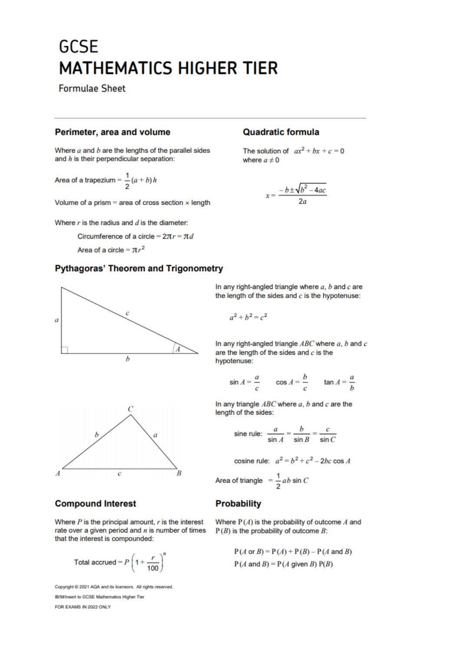# **GCSE MATHEMATICS HIGHER TIER**

**Formulae Sheet** 

#### Perimeter, area and volume

Where  $a$  and  $b$  are the lengths of the parallel sides and  $h$  is their perpendicular separation:

Area of a trapezium =  $\frac{1}{2}(a + b) h$ 

Volume of a prism = area of cross section  $\times$  length

Where  $r$  is the radius and  $d$  is the diameter:

Circumference of a circle =  $2\pi r = \pi d$ 

Area of a circle =  $\pi r^2$ 

#### **Pythagoras' Theorem and Trigonometry**





#### **Compound Interest**

Where  $P$  is the principal amount,  $r$  is the interest rate over a given period and  $n$  is number of times that the interest is compounded:

Total accrued = 
$$
P\left(1 + \frac{r}{100}\right)^n
$$

Copyright @ 2021 AQA and its licensors. All rights reserved. **IB/M/Insert to GCSE Mathematics Higher Tier** FOR EXAMS IN 2022 ONLY

#### **Quadratic formula**

The solution of  $ax^2 + bx + c = 0$ where  $a \neq 0$ 

$$
x=\frac{-b\pm\sqrt{b^2-4ac}}{2a}
$$

In any right-angled triangle where  $a, b$  and  $c$  are the length of the sides and  $c$  is the hypotenuse:

$$
a^2 + b^2 = c^2
$$

In any right-angled triangle  $ABC$  where  $a, b$  and  $c$ are the length of the sides and  $c$  is the hypotenuse:

$$
\sin A = \frac{a}{c} \qquad \cos A = \frac{b}{c} \qquad \tan A = \frac{a}{b}
$$

In any triangle  $ABC$  where  $a, b$  and  $c$  are the length of the sides:

sine rule: 
$$
\frac{a}{\sin A} = \frac{b}{\sin B} = \frac{c}{\sin C}
$$

cosine rule:  $a^2 = b^2 + c^2 - 2bc \cos A$ Area of triangle  $=\frac{1}{2}ab \sin C$ 

#### **Probability**

Where  $P(A)$  is the probability of outcome A and  $P(B)$  is the probability of outcome B:

> $P(A \text{ or } B) = P(A) + P(B) - P(A \text{ and } B)$  $P(A \text{ and } B) = P(A \text{ given } B) P(B)$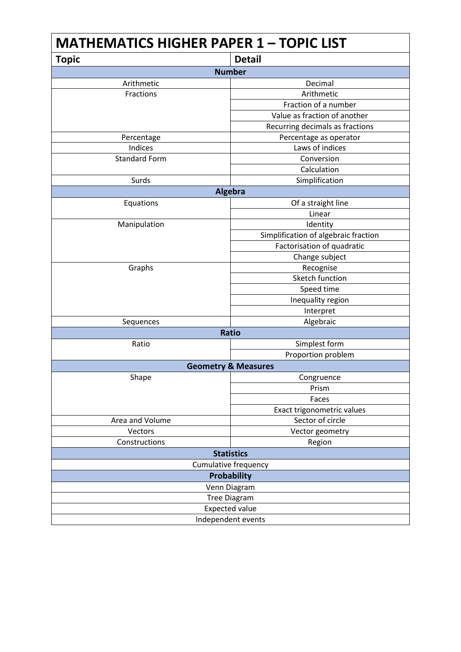| <b>MATHEMATICS HIGHER PAPER 1 - TOPIC LIST</b> |                                      |  |
|------------------------------------------------|--------------------------------------|--|
| <b>Topic</b>                                   | <b>Detail</b>                        |  |
|                                                | <b>Number</b>                        |  |
| Arithmetic                                     | Decimal                              |  |
| Fractions                                      | Arithmetic                           |  |
|                                                | Fraction of a number                 |  |
|                                                | Value as fraction of another         |  |
|                                                | Recurring decimals as fractions      |  |
| Percentage                                     | Percentage as operator               |  |
| Indices                                        | Laws of indices                      |  |
| <b>Standard Form</b>                           | Conversion                           |  |
|                                                | Calculation                          |  |
| Surds                                          | Simplification                       |  |
|                                                | <b>Algebra</b>                       |  |
| Equations                                      | Of a straight line                   |  |
|                                                | Linear                               |  |
| Manipulation                                   | Identity                             |  |
|                                                | Simplification of algebraic fraction |  |
|                                                | Factorisation of quadratic           |  |
|                                                | Change subject                       |  |
| Graphs                                         | Recognise                            |  |
|                                                | Sketch function                      |  |
|                                                | Speed time                           |  |
|                                                | Inequality region                    |  |
|                                                | Interpret                            |  |
| Sequences                                      | Algebraic                            |  |
| <b>Ratio</b>                                   |                                      |  |
| Ratio                                          | Simplest form                        |  |
|                                                | Proportion problem                   |  |
| <b>Geometry &amp; Measures</b>                 |                                      |  |
| Shape                                          | Congruence                           |  |
|                                                | Prism                                |  |
|                                                | Faces                                |  |
|                                                | Exact trigonometric values           |  |
| Area and Volume                                | Sector of circle                     |  |
| Vectors                                        | Vector geometry                      |  |
| Constructions                                  | Region                               |  |
|                                                | <b>Statistics</b>                    |  |
| <b>Cumulative frequency</b>                    |                                      |  |
| <b>Probability</b>                             |                                      |  |
| Venn Diagram                                   |                                      |  |
| <b>Tree Diagram</b>                            |                                      |  |
| <b>Expected value</b>                          |                                      |  |
| Independent events                             |                                      |  |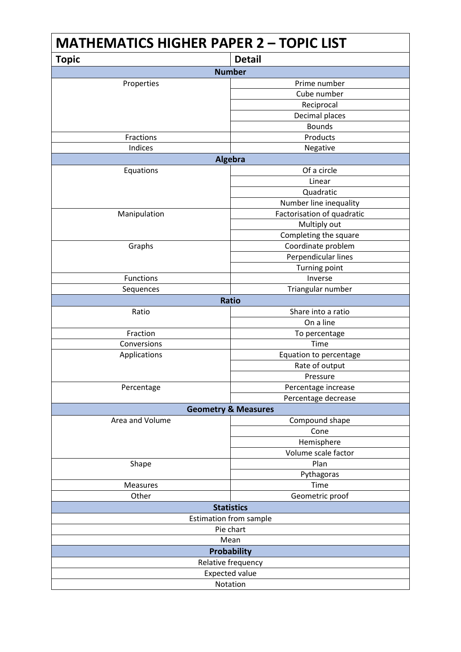| <b>MATHEMATICS HIGHER PAPER 2 - TOPIC LIST</b> |                            |  |
|------------------------------------------------|----------------------------|--|
| <b>Topic</b>                                   | <b>Detail</b>              |  |
| <b>Number</b>                                  |                            |  |
| Properties                                     | Prime number               |  |
|                                                | Cube number                |  |
|                                                | Reciprocal                 |  |
|                                                | Decimal places             |  |
|                                                | <b>Bounds</b>              |  |
| Fractions                                      | Products                   |  |
| Indices                                        | Negative                   |  |
| Algebra                                        |                            |  |
| Equations                                      | Of a circle                |  |
|                                                | Linear                     |  |
|                                                | Quadratic                  |  |
|                                                | Number line inequality     |  |
| Manipulation                                   | Factorisation of quadratic |  |
|                                                | Multiply out               |  |
|                                                | Completing the square      |  |
| Graphs                                         | Coordinate problem         |  |
|                                                | Perpendicular lines        |  |
|                                                | <b>Turning point</b>       |  |
| <b>Functions</b>                               | Inverse                    |  |
| Sequences                                      | Triangular number          |  |
|                                                | <b>Ratio</b>               |  |
| Ratio                                          | Share into a ratio         |  |
|                                                | On a line                  |  |
| Fraction                                       | To percentage              |  |
| Conversions                                    | Time                       |  |
| Applications                                   | Equation to percentage     |  |
|                                                | Rate of output             |  |
|                                                | Pressure                   |  |
| Percentage                                     | Percentage increase        |  |
|                                                | Percentage decrease        |  |
| <b>Geometry &amp; Measures</b>                 |                            |  |
| Area and Volume                                | Compound shape             |  |
|                                                | Cone                       |  |
|                                                | Hemisphere                 |  |
|                                                | Volume scale factor        |  |
| Shape                                          | Plan                       |  |
|                                                | Pythagoras                 |  |
| <b>Measures</b>                                | Time                       |  |
| Other                                          | Geometric proof            |  |
|                                                | <b>Statistics</b>          |  |
| <b>Estimation from sample</b>                  |                            |  |
| Pie chart                                      |                            |  |
| Mean                                           |                            |  |
| <b>Probability</b>                             |                            |  |
| Relative frequency                             |                            |  |
| <b>Expected value</b>                          |                            |  |
| Notation                                       |                            |  |